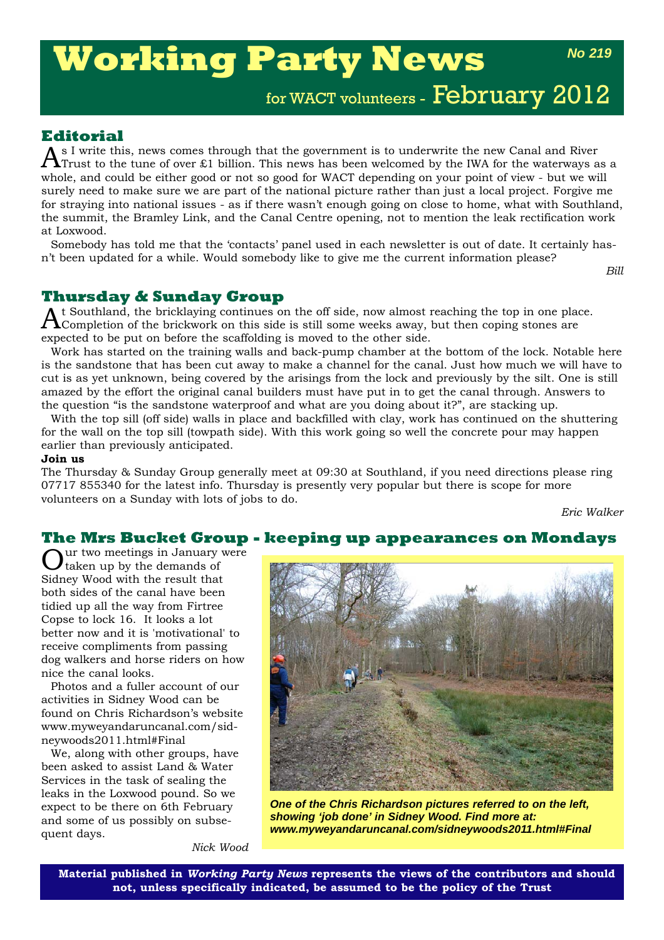# **Working Party News**

*No 219*

for WACT volunteers - February 2012

## **Editorial**

 $A$ <sup>s I</sup> write this, news comes through that the government is to underwrite the new Canal and River<br> $A$ Trust to the tune of over £1 billion. This news has been welcomed by the IWA for the waterways as a whole, and could be either good or not so good for WACT depending on your point of view - but we will surely need to make sure we are part of the national picture rather than just a local project. Forgive me for straying into national issues - as if there wasn't enough going on close to home, what with Southland, the summit, the Bramley Link, and the Canal Centre opening, not to mention the leak rectification work at Loxwood.

Somebody has told me that the 'contacts' panel used in each newsletter is out of date. It certainly hasn't been updated for a while. Would somebody like to give me the current information please?

*Bill*

## **Thursday & Sunday Group**

t Southland, the bricklaying continues on the off side, now almost reaching the top in one place.  $\Lambda$ Completion of the brickwork on this side is still some weeks away, but then coping stones are expected to be put on before the scaffolding is moved to the other side.

Work has started on the training walls and back-pump chamber at the bottom of the lock. Notable here is the sandstone that has been cut away to make a channel for the canal. Just how much we will have to cut is as yet unknown, being covered by the arisings from the lock and previously by the silt. One is still amazed by the effort the original canal builders must have put in to get the canal through. Answers to the question "is the sandstone waterproof and what are you doing about it?", are stacking up.

With the top sill (off side) walls in place and backfilled with clay, work has continued on the shuttering for the wall on the top sill (towpath side). With this work going so well the concrete pour may happen earlier than previously anticipated.

#### **Join us**

The Thursday & Sunday Group generally meet at 09:30 at Southland, if you need directions please ring 07717 855340 for the latest info. Thursday is presently very popular but there is scope for more volunteers on a Sunday with lots of jobs to do.

*Eric Walker*

## **The Mrs Bucket Group - keeping up appearances on Mondays**

ur two meetings in January were taken up by the demands of Sidney Wood with the result that both sides of the canal have been tidied up all the way from Firtree Copse to lock 16. It looks a lot better now and it is 'motivational' to receive compliments from passing dog walkers and horse riders on how nice the canal looks.

Photos and a fuller account of our activities in Sidney Wood can be found on Chris Richardson's website www.myweyandaruncanal.com/sidneywoods2011.html#Final

We, along with other groups, have been asked to assist Land & Water Services in the task of sealing the leaks in the Loxwood pound. So we expect to be there on 6th February and some of us possibly on subsequent days.



*One of the Chris Richardson pictures referred to on the left, showing 'job done' in Sidney Wood. Find more at: www.myweyandaruncanal.com/sidneywoods2011.html#Final*

*Nick Wood*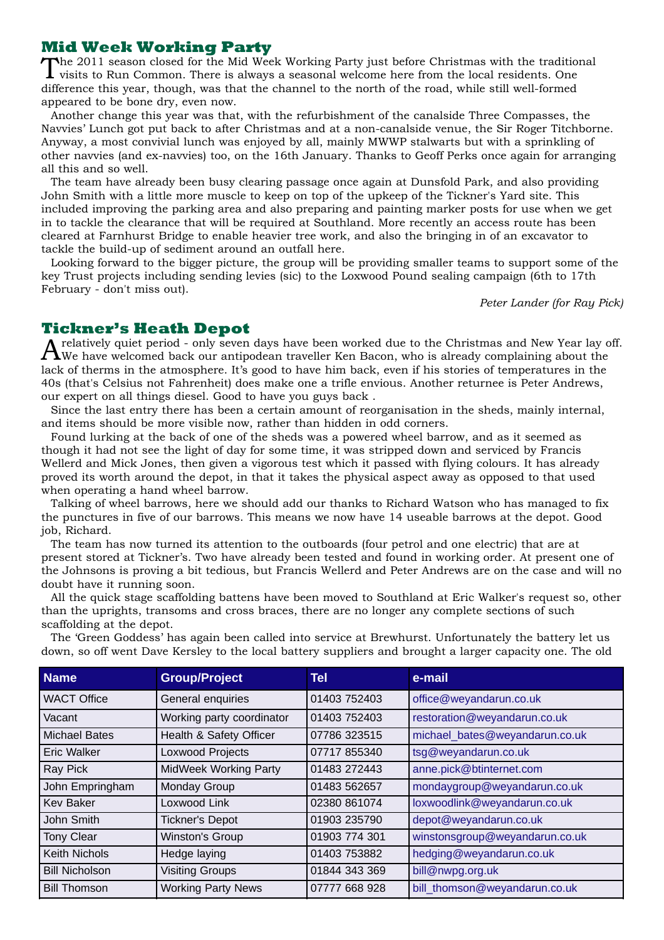#### **Mid Week Working Party**

The 2011 season closed for the Mid Week Working Party just before Christmas with the traditional **I** visits to Run Common. There is always a seasonal welcome here from the local residents. One difference this year, though, was that the channel to the north of the road, while still well-formed appeared to be bone dry, even now.

Another change this year was that, with the refurbishment of the canalside Three Compasses, the Navvies' Lunch got put back to after Christmas and at a non-canalside venue, the Sir Roger Titchborne. Anyway, a most convivial lunch was enjoyed by all, mainly MWWP stalwarts but with a sprinkling of other navvies (and ex-navvies) too, on the 16th January. Thanks to Geoff Perks once again for arranging all this and so well.

The team have already been busy clearing passage once again at Dunsfold Park, and also providing John Smith with a little more muscle to keep on top of the upkeep of the Tickner's Yard site. This included improving the parking area and also preparing and painting marker posts for use when we get in to tackle the clearance that will be required at Southland. More recently an access route has been cleared at Farnhurst Bridge to enable heavier tree work, and also the bringing in of an excavator to tackle the build-up of sediment around an outfall here.

Looking forward to the bigger picture, the group will be providing smaller teams to support some of the key Trust projects including sending levies (sic) to the Loxwood Pound sealing campaign (6th to 17th February - don't miss out).

*Peter Lander (for Ray Pick)*

### **Tickner's Heath Depot**

 $A$ relatively quiet period - only seven days have been worked due to the Christmas and New Year lay off.<br>We have welcomed back our antipodean traveller Ken Bacon, who is already complaining about the lack of therms in the atmosphere. It's good to have him back, even if his stories of temperatures in the 40s (that's Celsius not Fahrenheit) does make one a trifle envious. Another returnee is Peter Andrews, our expert on all things diesel. Good to have you guys back .

Since the last entry there has been a certain amount of reorganisation in the sheds, mainly internal, and items should be more visible now, rather than hidden in odd corners.

Found lurking at the back of one of the sheds was a powered wheel barrow, and as it seemed as though it had not see the light of day for some time, it was stripped down and serviced by Francis Wellerd and Mick Jones, then given a vigorous test which it passed with flying colours. It has already proved its worth around the depot, in that it takes the physical aspect away as opposed to that used when operating a hand wheel barrow.

Talking of wheel barrows, here we should add our thanks to Richard Watson who has managed to fix the punctures in five of our barrows. This means we now have 14 useable barrows at the depot. Good job, Richard.

The team has now turned its attention to the outboards (four petrol and one electric) that are at present stored at Tickner's. Two have already been tested and found in working order. At present one of the Johnsons is proving a bit tedious, but Francis Wellerd and Peter Andrews are on the case and will no doubt have it running soon.

All the quick stage scaffolding battens have been moved to Southland at Eric Walker's request so, other than the uprights, transoms and cross braces, there are no longer any complete sections of such scaffolding at the depot.

The 'Green Goddess' has again been called into service at Brewhurst. Unfortunately the battery let us down, so off went Dave Kersley to the local battery suppliers and brought a larger capacity one. The old

| <b>Name</b>           | <b>Group/Project</b>         | Tel           | e-mail                         |
|-----------------------|------------------------------|---------------|--------------------------------|
| <b>WACT Office</b>    | General enquiries            | 01403 752403  | office@weyandarun.co.uk        |
| Vacant                | Working party coordinator    | 01403 752403  | restoration@weyandarun.co.uk   |
| <b>Michael Bates</b>  | Health & Safety Officer      | 07786 323515  | michael_bates@weyandarun.co.uk |
| <b>Eric Walker</b>    | Loxwood Projects             | 07717 855340  | tsg@weyandarun.co.uk           |
| Ray Pick              | <b>MidWeek Working Party</b> | 01483 272443  | anne.pick@btinternet.com       |
| John Empringham       | Monday Group                 | 01483 562657  | mondaygroup@weyandarun.co.uk   |
| <b>Kev Baker</b>      | Loxwood Link                 | 02380 861074  | loxwoodlink@weyandarun.co.uk   |
| John Smith            | <b>Tickner's Depot</b>       | 01903 235790  | depot@weyandarun.co.uk         |
| <b>Tony Clear</b>     | <b>Winston's Group</b>       | 01903 774 301 | winstonsgroup@weyandarun.co.uk |
| <b>Keith Nichols</b>  | Hedge laying                 | 01403 753882  | hedging@weyandarun.co.uk       |
| <b>Bill Nicholson</b> | <b>Visiting Groups</b>       | 01844 343 369 | bill@nwpg.org.uk               |
| <b>Bill Thomson</b>   | <b>Working Party News</b>    | 07777 668 928 | bill_thomson@weyandarun.co.uk  |